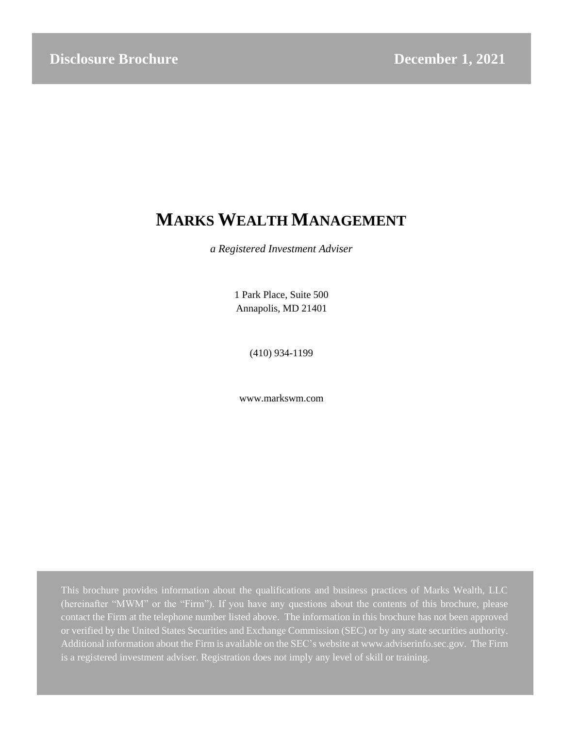# **MARKS WEALTH MANAGEMENT**

*a Registered Investment Adviser*

1 Park Place, Suite 500 Annapolis, MD 21401

(410) 934-1199

[www.markswm.com](http://www.markswm.com/)

This brochure provides information about the qualifications and business practices of Marks Wealth, LLC (hereinafter "MWM" or the "Firm"). If you have any questions about the contents of this brochure, please contact the Firm at the telephone number listed above. The information in this brochure has not been approved or verified by the United States Securities and Exchange Commission (SEC) or by any state securities authority. Additional information about the Firm is available on the SEC's website at [www.adviserinfo.sec.gov.](http://www.adviserinfo.sec.gov/) The Firm is a registered investment adviser. Registration does not imply any level of skill or training.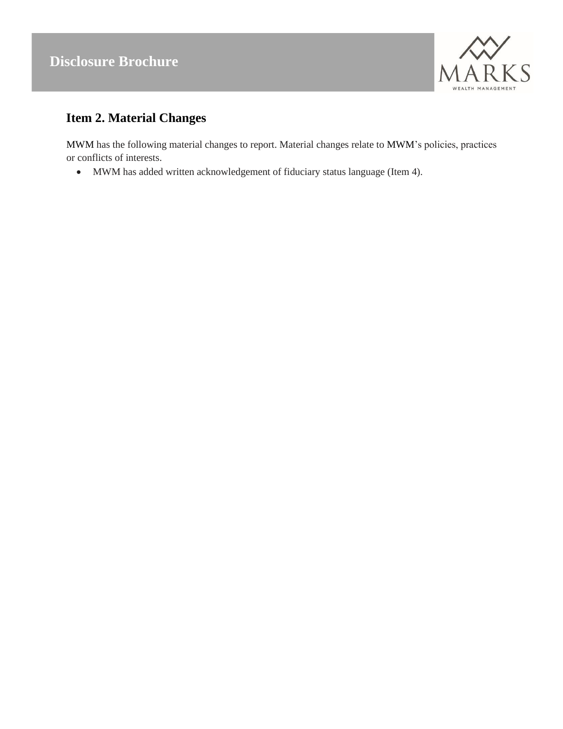

# <span id="page-1-0"></span>**Item 2. Material Changes**

MWM has the following material changes to report. Material changes relate to MWM's policies, practices or conflicts of interests.

• MWM has added written acknowledgement of fiduciary status language (Item 4).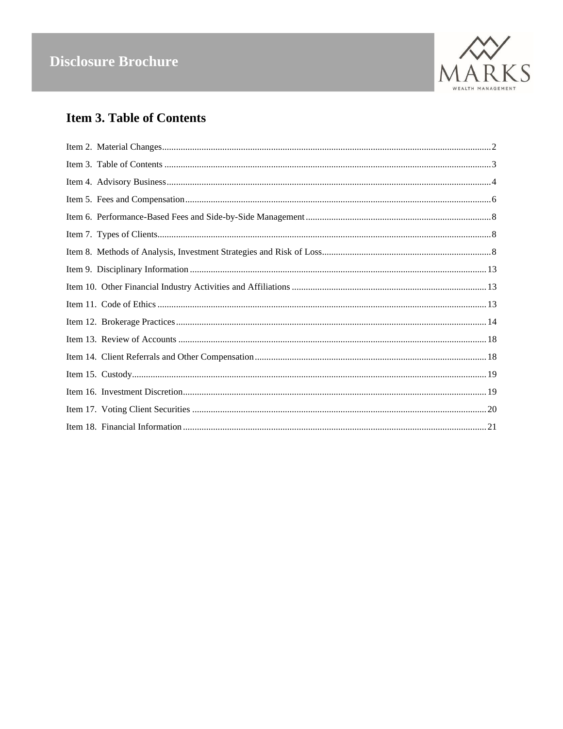

# <span id="page-2-0"></span>**Item 3. Table of Contents**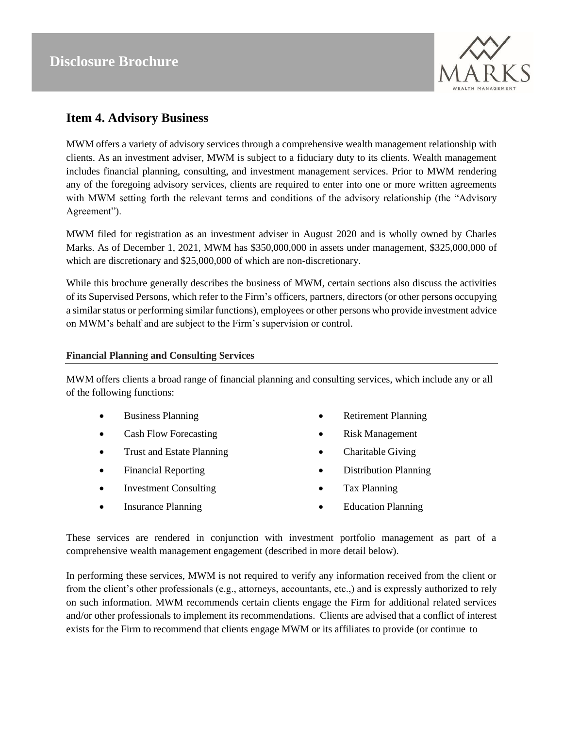

### **Item 4. Advisory Business**

MWM offers a variety of advisory services through a comprehensive wealth management relationship with clients. As an investment adviser, MWM is subject to a fiduciary duty to its clients. Wealth management includes financial planning, consulting, and investment management services. Prior to MWM rendering any of the foregoing advisory services, clients are required to enter into one or more written agreements with MWM setting forth the relevant terms and conditions of the advisory relationship (the "Advisory Agreement").

MWM filed for registration as an investment adviser in August 2020 and is wholly owned by Charles Marks. As of December 1, 2021, MWM has \$350,000,000 in assets under management, \$325,000,000 of which are discretionary and \$25,000,000 of which are non-discretionary.

While this brochure generally describes the business of MWM, certain sections also discuss the activities of its Supervised Persons, which refer to the Firm's officers, partners, directors (or other persons occupying a similar status or performing similar functions), employees or other persons who provide investment advice on MWM's behalf and are subject to the Firm's supervision or control.

#### **Financial Planning and Consulting Services**

MWM offers clients a broad range of financial planning and consulting services, which include any or all of the following functions:

- Business Planning
- Cash Flow Forecasting
- Trust and Estate Planning
- Financial Reporting
- Investment Consulting
- Insurance Planning
- Retirement Planning
- Risk Management
- Charitable Giving
- Distribution Planning
- Tax Planning
- Education Planning

These services are rendered in conjunction with investment portfolio management as part of a comprehensive wealth management engagement (described in more detail below).

In performing these services, MWM is not required to verify any information received from the client or from the client's other professionals (e.g., attorneys, accountants, etc.,) and is expressly authorized to rely on such information. MWM recommends certain clients engage the Firm for additional related services and/or other professionals to implement its recommendations. Clients are advised that a conflict of interest exists for the Firm to recommend that clients engage MWM or its affiliates to provide (or continue to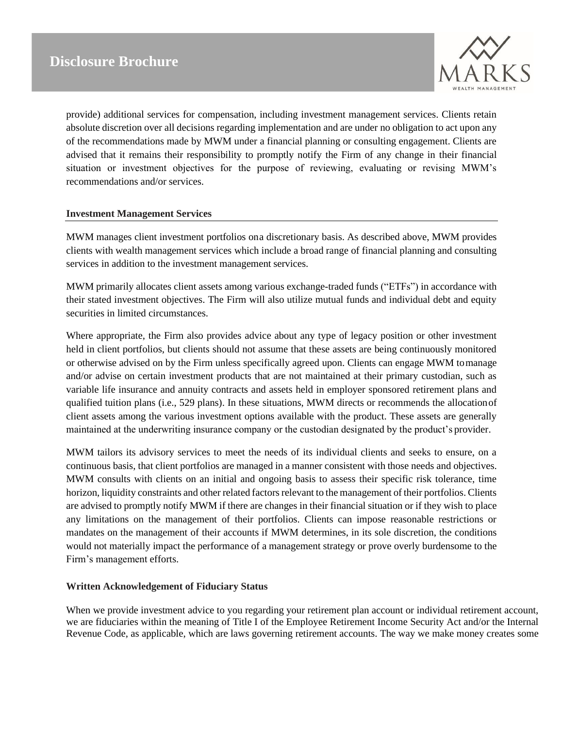

provide) additional services for compensation, including investment management services. Clients retain absolute discretion over all decisions regarding implementation and are under no obligation to act upon any of the recommendations made by MWM under a financial planning or consulting engagement. Clients are advised that it remains their responsibility to promptly notify the Firm of any change in their financial situation or investment objectives for the purpose of reviewing, evaluating or revising MWM's recommendations and/or services.

#### **Investment Management Services**

MWM manages client investment portfolios ona discretionary basis. As described above, MWM provides clients with wealth management services which include a broad range of financial planning and consulting services in addition to the investment management services.

MWM primarily allocates client assets among various exchange-traded funds ("ETFs") in accordance with their stated investment objectives. The Firm will also utilize mutual funds and individual debt and equity securities in limited circumstances.

Where appropriate, the Firm also provides advice about any type of legacy position or other investment held in client portfolios, but clients should not assume that these assets are being continuously monitored or otherwise advised on by the Firm unless specifically agreed upon. Clients can engage MWM tomanage and/or advise on certain investment products that are not maintained at their primary custodian, such as variable life insurance and annuity contracts and assets held in employer sponsored retirement plans and qualified tuition plans (i.e., 529 plans). In these situations, MWM directs or recommends the allocationof client assets among the various investment options available with the product. These assets are generally maintained at the underwriting insurance company or the custodian designated by the product's provider.

MWM tailors its advisory services to meet the needs of its individual clients and seeks to ensure, on a continuous basis, that client portfolios are managed in a manner consistent with those needs and objectives. MWM consults with clients on an initial and ongoing basis to assess their specific risk tolerance, time horizon, liquidity constraints and other related factors relevant to the management of their portfolios. Clients are advised to promptly notify MWM if there are changes in their financial situation or if they wish to place any limitations on the management of their portfolios. Clients can impose reasonable restrictions or mandates on the management of their accounts if MWM determines, in its sole discretion, the conditions would not materially impact the performance of a management strategy or prove overly burdensome to the Firm's management efforts.

#### **Written Acknowledgement of Fiduciary Status**

When we provide investment advice to you regarding your retirement plan account or individual retirement account, we are fiduciaries within the meaning of Title I of the Employee Retirement Income Security Act and/or the Internal Revenue Code, as applicable, which are laws governing retirement accounts. The way we make money creates some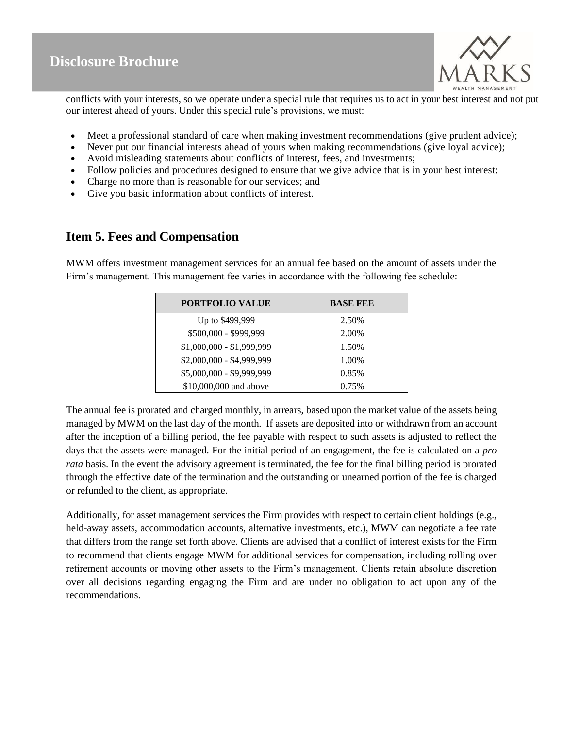

conflicts with your interests, so we operate under a special rule that requires us to act in your best interest and not put our interest ahead of yours. Under this special rule's provisions, we must:

- Meet a professional standard of care when making investment recommendations (give prudent advice);
- Never put our financial interests ahead of yours when making recommendations (give loyal advice);
- Avoid misleading statements about conflicts of interest, fees, and investments;
- Follow policies and procedures designed to ensure that we give advice that is in your best interest;
- Charge no more than is reasonable for our services; and
- Give you basic information about conflicts of interest.

### <span id="page-5-0"></span>**Item 5. Fees and Compensation**

MWM offers investment management services for an annual fee based on the amount of assets under the Firm's management. This management fee varies in accordance with the following fee schedule:

| <b>PORTFOLIO VALUE</b>    | <b>BASE FEE</b> |
|---------------------------|-----------------|
| Up to \$499,999           | 2.50%           |
| \$500,000 - \$999,999     | 2.00%           |
| $$1,000,000 - $1,999,999$ | 1.50%           |
| \$2,000,000 - \$4,999,999 | 1.00%           |
| \$5,000,000 - \$9,999,999 | 0.85%           |
| \$10,000,000 and above    | 0.75%           |

The annual fee is prorated and charged monthly, in arrears, based upon the market value of the assets being managed by MWM on the last day of the month. If assets are deposited into or withdrawn from an account after the inception of a billing period, the fee payable with respect to such assets is adjusted to reflect the days that the assets were managed. For the initial period of an engagement, the fee is calculated on a *pro rata* basis. In the event the advisory agreement is terminated, the fee for the final billing period is prorated through the effective date of the termination and the outstanding or unearned portion of the fee is charged or refunded to the client, as appropriate.

Additionally, for asset management services the Firm provides with respect to certain client holdings (e.g., held-away assets, accommodation accounts, alternative investments, etc.), MWM can negotiate a fee rate that differs from the range set forth above. Clients are advised that a conflict of interest exists for the Firm to recommend that clients engage MWM for additional services for compensation, including rolling over retirement accounts or moving other assets to the Firm's management. Clients retain absolute discretion over all decisions regarding engaging the Firm and are under no obligation to act upon any of the recommendations.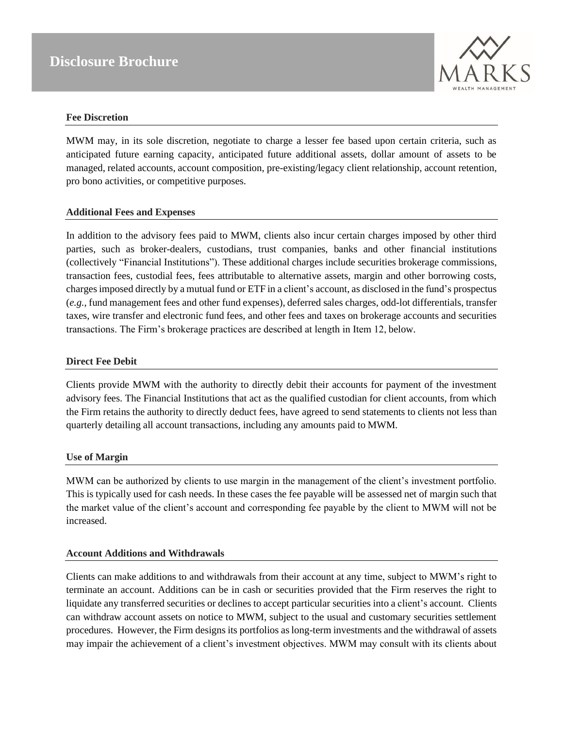

#### **Fee Discretion**

MWM may, in its sole discretion, negotiate to charge a lesser fee based upon certain criteria, such as anticipated future earning capacity, anticipated future additional assets, dollar amount of assets to be managed, related accounts, account composition, pre-existing/legacy client relationship, account retention, pro bono activities, or competitive purposes.

#### **Additional Fees and Expenses**

In addition to the advisory fees paid to MWM, clients also incur certain charges imposed by other third parties, such as broker-dealers, custodians, trust companies, banks and other financial institutions (collectively "Financial Institutions"). These additional charges include securities brokerage commissions, transaction fees, custodial fees, fees attributable to alternative assets, margin and other borrowing costs, chargesimposed directly by a mutual fund or ETF in a client's account, as disclosed in the fund's prospectus (*e.g.*, fund management fees and other fund expenses), deferred sales charges, odd-lot differentials, transfer taxes, wire transfer and electronic fund fees, and other fees and taxes on brokerage accounts and securities transactions. The Firm's brokerage practices are described at length in Item 12, below.

#### **Direct Fee Debit**

Clients provide MWM with the authority to directly debit their accounts for payment of the investment advisory fees. The Financial Institutions that act as the qualified custodian for client accounts, from which the Firm retains the authority to directly deduct fees, have agreed to send statements to clients not less than quarterly detailing all account transactions, including any amounts paid to MWM.

#### **Use of Margin**

MWM can be authorized by clients to use margin in the management of the client's investment portfolio. This is typically used for cash needs. In these cases the fee payable will be assessed net of margin such that the market value of the client's account and corresponding fee payable by the client to MWM will not be increased.

#### **Account Additions and Withdrawals**

Clients can make additions to and withdrawals from their account at any time, subject to MWM's right to terminate an account. Additions can be in cash or securities provided that the Firm reserves the right to liquidate any transferred securities or declines to accept particular securities into a client's account. Clients can withdraw account assets on notice to MWM, subject to the usual and customary securities settlement procedures. However, the Firm designs its portfolios aslong-term investments and the withdrawal of assets may impair the achievement of a client's investment objectives. MWM may consult with its clients about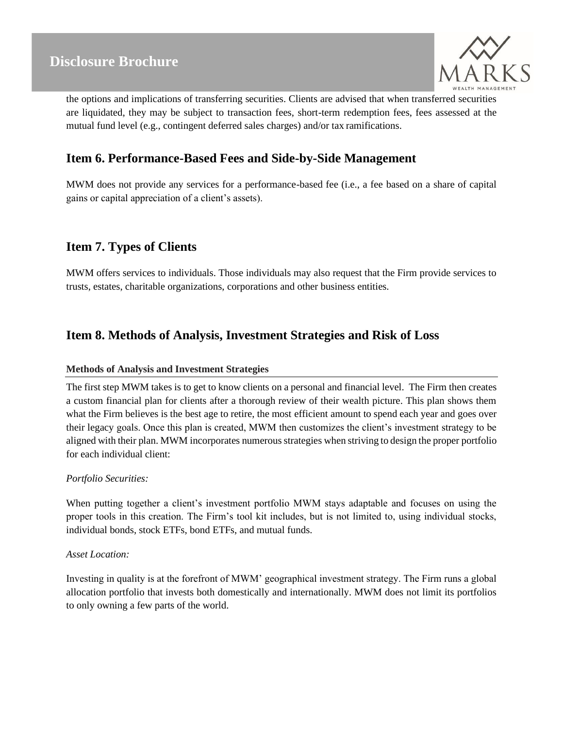

the options and implications of transferring securities. Clients are advised that when transferred securities are liquidated, they may be subject to transaction fees, short-term redemption fees, fees assessed at the mutual fund level (e.g., contingent deferred sales charges) and/or tax ramifications.

### <span id="page-7-0"></span>**Item 6. Performance-Based Fees and Side-by-Side Management**

MWM does not provide any services for a performance-based fee (i.e., a fee based on a share of capital gains or capital appreciation of a client's assets).

### <span id="page-7-1"></span>**Item 7. Types of Clients**

MWM offers services to individuals. Those individuals may also request that the Firm provide services to trusts, estates, charitable organizations, corporations and other business entities.

### <span id="page-7-2"></span>**Item 8. Methods of Analysis, Investment Strategies and Risk of Loss**

#### **Methods of Analysis and Investment Strategies**

The first step MWM takes is to get to know clients on a personal and financial level. The Firm then creates a custom financial plan for clients after a thorough review of their wealth picture. This plan shows them what the Firm believes is the best age to retire, the most efficient amount to spend each year and goes over their legacy goals. Once this plan is created, MWM then customizes the client's investment strategy to be aligned with their plan. MWM incorporates numerous strategies when striving to design the proper portfolio for each individual client:

#### *Portfolio Securities:*

When putting together a client's investment portfolio MWM stays adaptable and focuses on using the proper tools in this creation. The Firm's tool kit includes, but is not limited to, using individual stocks, individual bonds, stock ETFs, bond ETFs, and mutual funds.

#### *Asset Location:*

Investing in quality is at the forefront of MWM' geographical investment strategy. The Firm runs a global allocation portfolio that invests both domestically and internationally. MWM does not limit its portfolios to only owning a few parts of the world.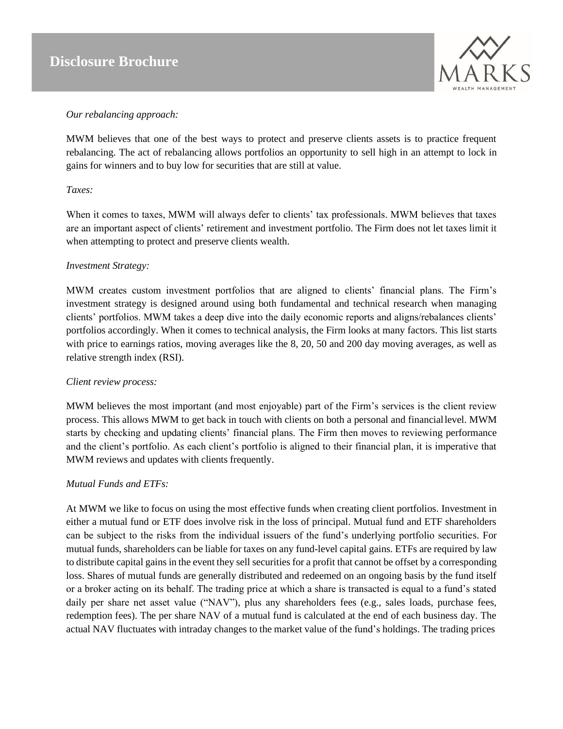

#### *Our rebalancing approach:*

MWM believes that one of the best ways to protect and preserve clients assets is to practice frequent rebalancing. The act of rebalancing allows portfolios an opportunity to sell high in an attempt to lock in gains for winners and to buy low for securities that are still at value.

#### *Taxes:*

When it comes to taxes, MWM will always defer to clients' tax professionals. MWM believes that taxes are an important aspect of clients' retirement and investment portfolio. The Firm does not let taxes limit it when attempting to protect and preserve clients wealth.

#### *Investment Strategy:*

MWM creates custom investment portfolios that are aligned to clients' financial plans. The Firm's investment strategy is designed around using both fundamental and technical research when managing clients' portfolios. MWM takes a deep dive into the daily economic reports and aligns/rebalances clients' portfolios accordingly. When it comes to technical analysis, the Firm looks at many factors. This list starts with price to earnings ratios, moving averages like the 8, 20, 50 and 200 day moving averages, as well as relative strength index (RSI).

#### *Client review process:*

MWM believes the most important (and most enjoyable) part of the Firm's services is the client review process. This allows MWM to get back in touch with clients on both a personal and financiallevel. MWM starts by checking and updating clients' financial plans. The Firm then moves to reviewing performance and the client's portfolio. As each client's portfolio is aligned to their financial plan, it is imperative that MWM reviews and updates with clients frequently.

#### *Mutual Funds and ETFs:*

At MWM we like to focus on using the most effective funds when creating client portfolios. Investment in either a mutual fund or ETF does involve risk in the loss of principal. Mutual fund and ETF shareholders can be subject to the risks from the individual issuers of the fund's underlying portfolio securities. For mutual funds, shareholders can be liable for taxes on any fund-level capital gains. ETFs are required by law to distribute capital gains in the event they sell securities for a profit that cannot be offset by a corresponding loss. Shares of mutual funds are generally distributed and redeemed on an ongoing basis by the fund itself or a broker acting on its behalf. The trading price at which a share is transacted is equal to a fund's stated daily per share net asset value ("NAV"), plus any shareholders fees (e.g., sales loads, purchase fees, redemption fees). The per share NAV of a mutual fund is calculated at the end of each business day. The actual NAV fluctuates with intraday changes to the market value of the fund's holdings. The trading prices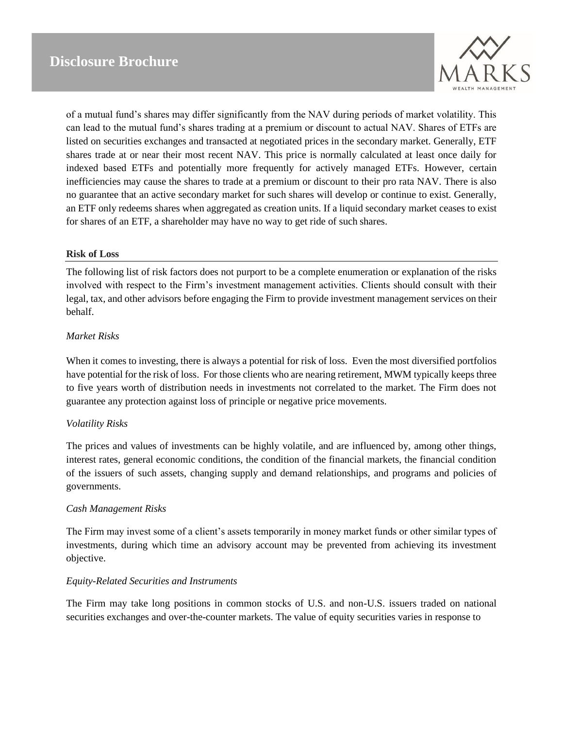

of a mutual fund's shares may differ significantly from the NAV during periods of market volatility. This can lead to the mutual fund's shares trading at a premium or discount to actual NAV. Shares of ETFs are listed on securities exchanges and transacted at negotiated prices in the secondary market. Generally, ETF shares trade at or near their most recent NAV. This price is normally calculated at least once daily for indexed based ETFs and potentially more frequently for actively managed ETFs. However, certain inefficiencies may cause the shares to trade at a premium or discount to their pro rata NAV. There is also no guarantee that an active secondary market for such shares will develop or continue to exist. Generally, an ETF only redeems shares when aggregated as creation units. If a liquid secondary market ceases to exist for shares of an ETF, a shareholder may have no way to get ride of such shares.

#### **Risk of Loss**

The following list of risk factors does not purport to be a complete enumeration or explanation of the risks involved with respect to the Firm's investment management activities. Clients should consult with their legal, tax, and other advisors before engaging the Firm to provide investment management services on their behalf.

#### *Market Risks*

When it comes to investing, there is always a potential for risk of loss. Even the most diversified portfolios have potential for the risk of loss. For those clients who are nearing retirement, MWM typically keeps three to five years worth of distribution needs in investments not correlated to the market. The Firm does not guarantee any protection against loss of principle or negative price movements.

#### *Volatility Risks*

The prices and values of investments can be highly volatile, and are influenced by, among other things, interest rates, general economic conditions, the condition of the financial markets, the financial condition of the issuers of such assets, changing supply and demand relationships, and programs and policies of governments.

#### *Cash Management Risks*

The Firm may invest some of a client's assets temporarily in money market funds or other similar types of investments, during which time an advisory account may be prevented from achieving its investment objective.

#### *Equity-Related Securities and Instruments*

The Firm may take long positions in common stocks of U.S. and non-U.S. issuers traded on national securities exchanges and over-the-counter markets. The value of equity securities varies in response to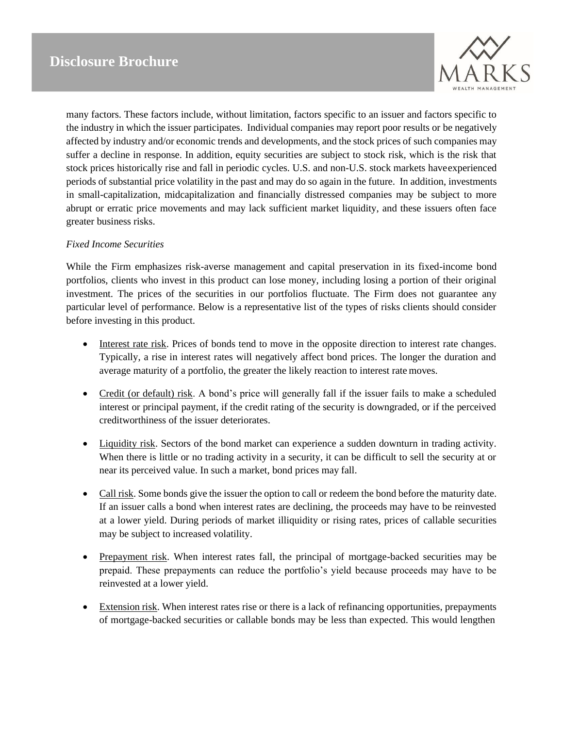

many factors. These factors include, without limitation, factors specific to an issuer and factors specific to the industry in which the issuer participates. Individual companies may report poor results or be negatively affected by industry and/or economic trends and developments, and the stock prices of such companies may suffer a decline in response. In addition, equity securities are subject to stock risk, which is the risk that stock prices historically rise and fall in periodic cycles. U.S. and non-U.S. stock markets haveexperienced periods of substantial price volatility in the past and may do so again in the future. In addition, investments in small-capitalization, midcapitalization and financially distressed companies may be subject to more abrupt or erratic price movements and may lack sufficient market liquidity, and these issuers often face greater business risks.

#### *Fixed Income Securities*

While the Firm emphasizes risk-averse management and capital preservation in its fixed-income bond portfolios, clients who invest in this product can lose money, including losing a portion of their original investment. The prices of the securities in our portfolios fluctuate. The Firm does not guarantee any particular level of performance. Below is a representative list of the types of risks clients should consider before investing in this product.

- Interest rate risk. Prices of bonds tend to move in the opposite direction to interest rate changes. Typically, a rise in interest rates will negatively affect bond prices. The longer the duration and average maturity of a portfolio, the greater the likely reaction to interest rate moves.
- Credit (or default) risk. A bond's price will generally fall if the issuer fails to make a scheduled interest or principal payment, if the credit rating of the security is downgraded, or if the perceived creditworthiness of the issuer deteriorates.
- Liquidity risk. Sectors of the bond market can experience a sudden downturn in trading activity. When there is little or no trading activity in a security, it can be difficult to sell the security at or near its perceived value. In such a market, bond prices may fall.
- Call risk. Some bonds give the issuer the option to call or redeem the bond before the maturity date. If an issuer calls a bond when interest rates are declining, the proceeds may have to be reinvested at a lower yield. During periods of market illiquidity or rising rates, prices of callable securities may be subject to increased volatility.
- Prepayment risk. When interest rates fall, the principal of mortgage-backed securities may be prepaid. These prepayments can reduce the portfolio's yield because proceeds may have to be reinvested at a lower yield.
- Extension risk. When interest rates rise or there is a lack of refinancing opportunities, prepayments of mortgage-backed securities or callable bonds may be less than expected. This would lengthen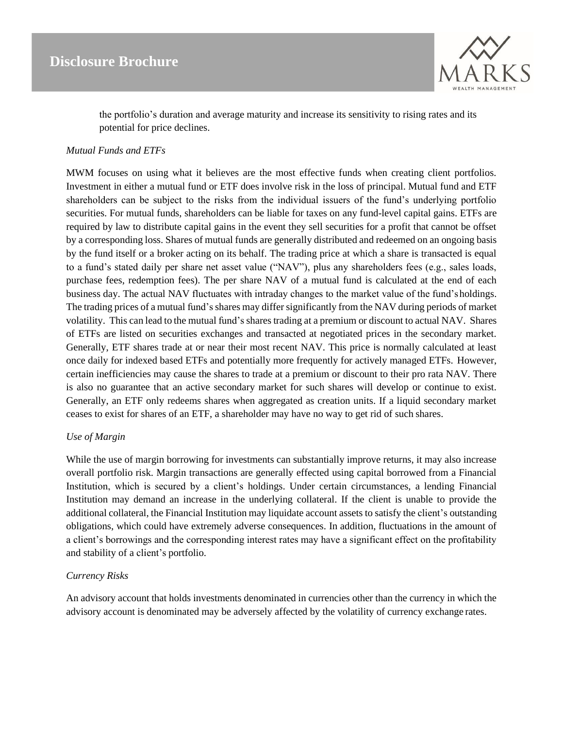

the portfolio's duration and average maturity and increase its sensitivity to rising rates and its potential for price declines.

#### *Mutual Funds and ETFs*

MWM focuses on using what it believes are the most effective funds when creating client portfolios. Investment in either a mutual fund or ETF does involve risk in the loss of principal. Mutual fund and ETF shareholders can be subject to the risks from the individual issuers of the fund's underlying portfolio securities. For mutual funds, shareholders can be liable for taxes on any fund-level capital gains. ETFs are required by law to distribute capital gains in the event they sell securities for a profit that cannot be offset by a corresponding loss. Shares of mutual funds are generally distributed and redeemed on an ongoing basis by the fund itself or a broker acting on its behalf. The trading price at which a share is transacted is equal to a fund's stated daily per share net asset value ("NAV"), plus any shareholders fees (e.g., sales loads, purchase fees, redemption fees). The per share NAV of a mutual fund is calculated at the end of each business day. The actual NAV fluctuates with intraday changes to the market value of the fund'sholdings. The trading prices of a mutual fund's shares may differ significantly from the NAV during periods of market volatility. This can lead to the mutual fund's shares trading at a premium or discount to actual NAV. Shares of ETFs are listed on securities exchanges and transacted at negotiated prices in the secondary market. Generally, ETF shares trade at or near their most recent NAV. This price is normally calculated at least once daily for indexed based ETFs and potentially more frequently for actively managed ETFs. However, certain inefficiencies may cause the shares to trade at a premium or discount to their pro rata NAV. There is also no guarantee that an active secondary market for such shares will develop or continue to exist. Generally, an ETF only redeems shares when aggregated as creation units. If a liquid secondary market ceases to exist for shares of an ETF, a shareholder may have no way to get rid of such shares.

#### *Use of Margin*

While the use of margin borrowing for investments can substantially improve returns, it may also increase overall portfolio risk. Margin transactions are generally effected using capital borrowed from a Financial Institution, which is secured by a client's holdings. Under certain circumstances, a lending Financial Institution may demand an increase in the underlying collateral. If the client is unable to provide the additional collateral, the Financial Institution may liquidate account assets to satisfy the client's outstanding obligations, which could have extremely adverse consequences. In addition, fluctuations in the amount of a client's borrowings and the corresponding interest rates may have a significant effect on the profitability and stability of a client's portfolio.

#### *Currency Risks*

An advisory account that holds investments denominated in currencies other than the currency in which the advisory account is denominated may be adversely affected by the volatility of currency exchange rates.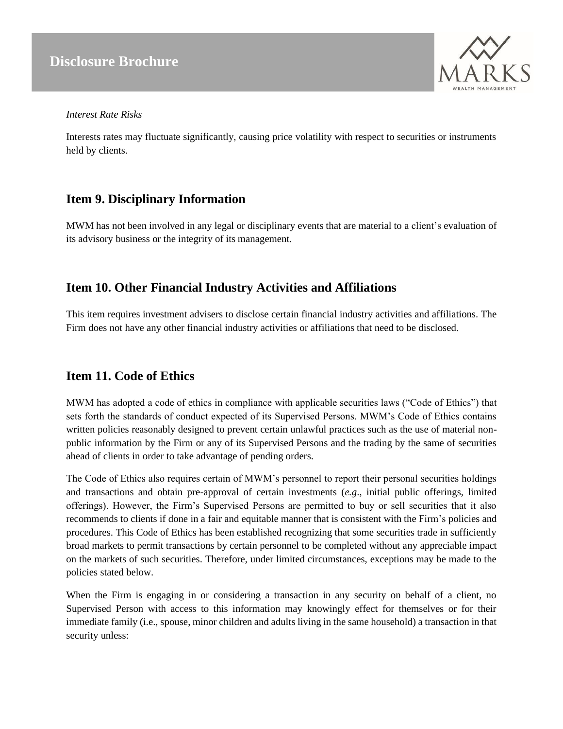

#### *Interest Rate Risks*

Interests rates may fluctuate significantly, causing price volatility with respect to securities or instruments held by clients.

### <span id="page-12-0"></span>**Item 9. Disciplinary Information**

MWM has not been involved in any legal or disciplinary events that are material to a client's evaluation of its advisory business or the integrity of its management.

### <span id="page-12-1"></span>**Item 10. Other Financial Industry Activities and Affiliations**

This item requires investment advisers to disclose certain financial industry activities and affiliations. The Firm does not have any other financial industry activities or affiliations that need to be disclosed.

### <span id="page-12-2"></span>**Item 11. Code of Ethics**

MWM has adopted a code of ethics in compliance with applicable securities laws ("Code of Ethics") that sets forth the standards of conduct expected of its Supervised Persons. MWM's Code of Ethics contains written policies reasonably designed to prevent certain unlawful practices such as the use of material nonpublic information by the Firm or any of its Supervised Persons and the trading by the same of securities ahead of clients in order to take advantage of pending orders.

The Code of Ethics also requires certain of MWM's personnel to report their personal securities holdings and transactions and obtain pre-approval of certain investments (*e.g*., initial public offerings, limited offerings). However, the Firm's Supervised Persons are permitted to buy or sell securities that it also recommends to clients if done in a fair and equitable manner that is consistent with the Firm's policies and procedures. This Code of Ethics has been established recognizing that some securities trade in sufficiently broad markets to permit transactions by certain personnel to be completed without any appreciable impact on the markets of such securities. Therefore, under limited circumstances, exceptions may be made to the policies stated below.

When the Firm is engaging in or considering a transaction in any security on behalf of a client, no Supervised Person with access to this information may knowingly effect for themselves or for their immediate family (i.e., spouse, minor children and adults living in the same household) a transaction in that security unless: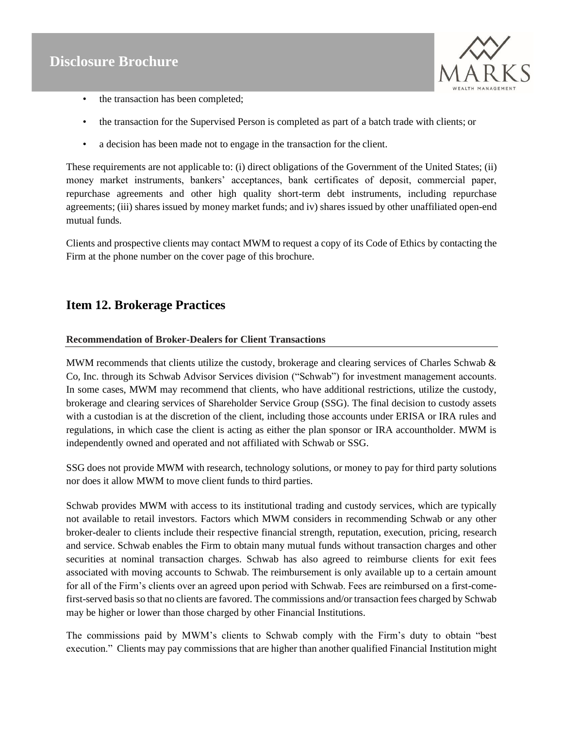

- the transaction has been completed;
- the transaction for the Supervised Person is completed as part of a batch trade with clients; or
- a decision has been made not to engage in the transaction for the client.

These requirements are not applicable to: (i) direct obligations of the Government of the United States; (ii) money market instruments, bankers' acceptances, bank certificates of deposit, commercial paper, repurchase agreements and other high quality short-term debt instruments, including repurchase agreements; (iii) shares issued by money market funds; and iv) shares issued by other unaffiliated open-end mutual funds.

Clients and prospective clients may contact MWM to request a copy of its Code of Ethics by contacting the Firm at the phone number on the cover page of this brochure.

### <span id="page-13-0"></span>**Item 12. Brokerage Practices**

#### **Recommendation of Broker-Dealers for Client Transactions**

MWM recommends that clients utilize the custody, brokerage and clearing services of Charles Schwab & Co, Inc. through its Schwab Advisor Services division ("Schwab") for investment management accounts. In some cases, MWM may recommend that clients, who have additional restrictions, utilize the custody, brokerage and clearing services of Shareholder Service Group (SSG). The final decision to custody assets with a custodian is at the discretion of the client, including those accounts under ERISA or IRA rules and regulations, in which case the client is acting as either the plan sponsor or IRA accountholder. MWM is independently owned and operated and not affiliated with Schwab or SSG.

SSG does not provide MWM with research, technology solutions, or money to pay for third party solutions nor does it allow MWM to move client funds to third parties.

Schwab provides MWM with access to its institutional trading and custody services, which are typically not available to retail investors. Factors which MWM considers in recommending Schwab or any other broker-dealer to clients include their respective financial strength, reputation, execution, pricing, research and service. Schwab enables the Firm to obtain many mutual funds without transaction charges and other securities at nominal transaction charges. Schwab has also agreed to reimburse clients for exit fees associated with moving accounts to Schwab. The reimbursement is only available up to a certain amount for all of the Firm's clients over an agreed upon period with Schwab. Fees are reimbursed on a first-comefirst-served basis so that no clients are favored. The commissions and/or transaction fees charged by Schwab may be higher or lower than those charged by other Financial Institutions.

The commissions paid by MWM's clients to Schwab comply with the Firm's duty to obtain "best execution." Clients may pay commissions that are higher than another qualified Financial Institution might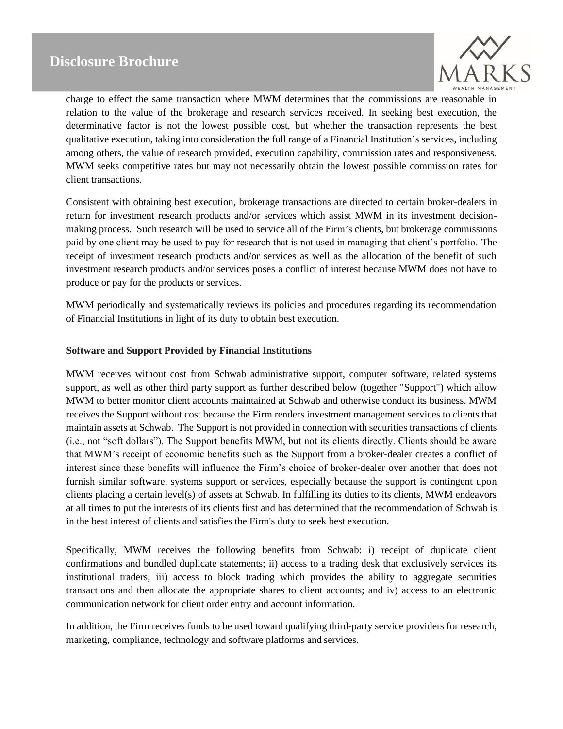

charge to effect the same transaction where MWM determines that the commissions are reasonable in relation to the value of the brokerage and research services received. In seeking best execution, the determinative factor is not the lowest possible cost, but whether the transaction represents the best qualitative execution, taking into consideration the full range of a Financial Institution's services, including among others, the value of research provided, execution capability, commission rates and responsiveness. MWM seeks competitive rates but may not necessarily obtain the lowest possible commission rates for client transactions.

Consistent with obtaining best execution, brokerage transactions are directed to certain broker-dealers in return for investment research products and/or services which assist MWM in its investment decisionmaking process. Such research will be used to service all of the Firm's clients, but brokerage commissions paid by one client may be used to pay for research that is not used in managing that client's portfolio. The receipt of investment research products and/or services as well as the allocation of the benefit of such investment research products and/or services poses a conflict of interest because MWM does not have to produce or pay for the products or services.

MWM periodically and systematically reviews its policies and procedures regarding its recommendation of Financial Institutions in light of its duty to obtain best execution.

#### **Software and Support Provided by Financial Institutions**

MWM receives without cost from Schwab administrative support, computer software, related systems support, as well as other third party support as further described below (together "Support") which allow MWM to better monitor client accounts maintained at Schwab and otherwise conduct its business. MWM receives the Support without cost because the Firm renders investment management services to clients that maintain assets at Schwab. The Support is not provided in connection with securities transactions of clients (i.e., not "soft dollars"). The Support benefits MWM, but not its clients directly. Clients should be aware that MWM's receipt of economic benefits such as the Support from a broker-dealer creates a conflict of interest since these benefits will influence the Firm's choice of broker-dealer over another that does not furnish similar software, systems support or services, especially because the support is contingent upon clients placing a certain level(s) of assets at Schwab. In fulfilling its duties to its clients, MWM endeavors at all times to put the interests of its clients first and has determined that the recommendation of Schwab is in the best interest of clients and satisfies the Firm's duty to seek best execution.

Specifically, MWM receives the following benefits from Schwab: i) receipt of duplicate client confirmations and bundled duplicate statements; ii) access to a trading desk that exclusively services its institutional traders; iii) access to block trading which provides the ability to aggregate securities transactions and then allocate the appropriate shares to client accounts; and iv) access to an electronic communication network for client order entry and account information.

In addition, the Firm receives funds to be used toward qualifying third-party service providers for research, marketing, compliance, technology and software platforms and services.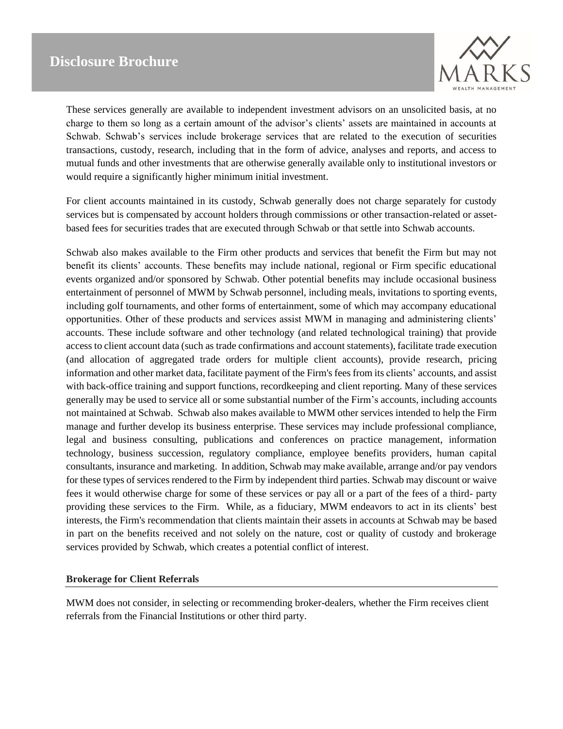

These services generally are available to independent investment advisors on an unsolicited basis, at no charge to them so long as a certain amount of the advisor's clients' assets are maintained in accounts at Schwab. Schwab's services include brokerage services that are related to the execution of securities transactions, custody, research, including that in the form of advice, analyses and reports, and access to mutual funds and other investments that are otherwise generally available only to institutional investors or would require a significantly higher minimum initial investment.

For client accounts maintained in its custody, Schwab generally does not charge separately for custody services but is compensated by account holders through commissions or other transaction-related or assetbased fees for securities trades that are executed through Schwab or that settle into Schwab accounts.

Schwab also makes available to the Firm other products and services that benefit the Firm but may not benefit its clients' accounts. These benefits may include national, regional or Firm specific educational events organized and/or sponsored by Schwab. Other potential benefits may include occasional business entertainment of personnel of MWM by Schwab personnel, including meals, invitations to sporting events, including golf tournaments, and other forms of entertainment, some of which may accompany educational opportunities. Other of these products and services assist MWM in managing and administering clients' accounts. These include software and other technology (and related technological training) that provide access to client account data (such as trade confirmations and account statements), facilitate trade execution (and allocation of aggregated trade orders for multiple client accounts), provide research, pricing information and other market data, facilitate payment of the Firm's fees from its clients' accounts, and assist with back-office training and support functions, recordkeeping and client reporting. Many of these services generally may be used to service all or some substantial number of the Firm's accounts, including accounts not maintained at Schwab. Schwab also makes available to MWM other services intended to help the Firm manage and further develop its business enterprise. These services may include professional compliance, legal and business consulting, publications and conferences on practice management, information technology, business succession, regulatory compliance, employee benefits providers, human capital consultants, insurance and marketing. In addition, Schwab may make available, arrange and/or pay vendors for these types of services rendered to the Firm by independent third parties. Schwab may discount or waive fees it would otherwise charge for some of these services or pay all or a part of the fees of a third- party providing these services to the Firm. While, as a fiduciary, MWM endeavors to act in its clients' best interests, the Firm's recommendation that clients maintain their assets in accounts at Schwab may be based in part on the benefits received and not solely on the nature, cost or quality of custody and brokerage services provided by Schwab, which creates a potential conflict of interest.

#### **Brokerage for Client Referrals**

MWM does not consider, in selecting or recommending broker-dealers, whether the Firm receives client referrals from the Financial Institutions or other third party.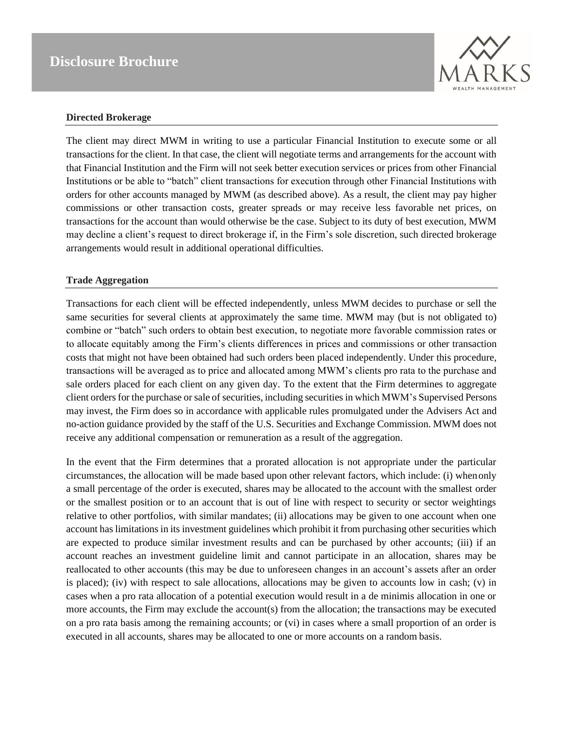

#### **Directed Brokerage**

The client may direct MWM in writing to use a particular Financial Institution to execute some or all transactions for the client. In that case, the client will negotiate terms and arrangements for the account with that Financial Institution and the Firm will not seek better execution services or prices from other Financial Institutions or be able to "batch" client transactions for execution through other Financial Institutions with orders for other accounts managed by MWM (as described above). As a result, the client may pay higher commissions or other transaction costs, greater spreads or may receive less favorable net prices, on transactions for the account than would otherwise be the case. Subject to its duty of best execution, MWM may decline a client's request to direct brokerage if, in the Firm's sole discretion, such directed brokerage arrangements would result in additional operational difficulties.

#### **Trade Aggregation**

Transactions for each client will be effected independently, unless MWM decides to purchase or sell the same securities for several clients at approximately the same time. MWM may (but is not obligated to) combine or "batch" such orders to obtain best execution, to negotiate more favorable commission rates or to allocate equitably among the Firm's clients differences in prices and commissions or other transaction costs that might not have been obtained had such orders been placed independently. Under this procedure, transactions will be averaged as to price and allocated among MWM's clients pro rata to the purchase and sale orders placed for each client on any given day. To the extent that the Firm determines to aggregate client ordersfor the purchase orsale of securities, including securitiesin which MWM's Supervised Persons may invest, the Firm does so in accordance with applicable rules promulgated under the Advisers Act and no-action guidance provided by the staff of the U.S. Securities and Exchange Commission. MWM does not receive any additional compensation or remuneration as a result of the aggregation.

In the event that the Firm determines that a prorated allocation is not appropriate under the particular circumstances, the allocation will be made based upon other relevant factors, which include: (i) whenonly a small percentage of the order is executed, shares may be allocated to the account with the smallest order or the smallest position or to an account that is out of line with respect to security or sector weightings relative to other portfolios, with similar mandates; (ii) allocations may be given to one account when one account has limitations in its investment guidelines which prohibit it from purchasing other securities which are expected to produce similar investment results and can be purchased by other accounts; (iii) if an account reaches an investment guideline limit and cannot participate in an allocation, shares may be reallocated to other accounts (this may be due to unforeseen changes in an account's assets after an order is placed); (iv) with respect to sale allocations, allocations may be given to accounts low in cash; (v) in cases when a pro rata allocation of a potential execution would result in a de minimis allocation in one or more accounts, the Firm may exclude the account(s) from the allocation; the transactions may be executed on a pro rata basis among the remaining accounts; or (vi) in cases where a small proportion of an order is executed in all accounts, shares may be allocated to one or more accounts on a random basis.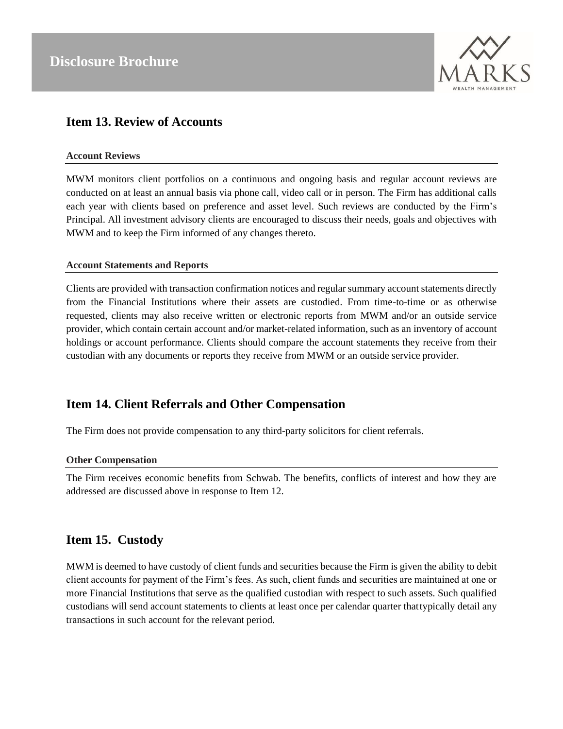

### <span id="page-17-0"></span>**Item 13. Review of Accounts**

#### **Account Reviews**

MWM monitors client portfolios on a continuous and ongoing basis and regular account reviews are conducted on at least an annual basis via phone call, video call or in person. The Firm has additional calls each year with clients based on preference and asset level. Such reviews are conducted by the Firm's Principal. All investment advisory clients are encouraged to discuss their needs, goals and objectives with MWM and to keep the Firm informed of any changes thereto.

#### **Account Statements and Reports**

Clients are provided with transaction confirmation notices and regularsummary account statements directly from the Financial Institutions where their assets are custodied. From time-to-time or as otherwise requested, clients may also receive written or electronic reports from MWM and/or an outside service provider, which contain certain account and/or market-related information, such as an inventory of account holdings or account performance. Clients should compare the account statements they receive from their custodian with any documents or reports they receive from MWM or an outside service provider.

### <span id="page-17-1"></span>**Item 14. Client Referrals and Other Compensation**

The Firm does not provide compensation to any third-party solicitors for client referrals.

#### **Other Compensation**

The Firm receives economic benefits from Schwab. The benefits, conflicts of interest and how they are addressed are discussed above in response to Item 12.

### <span id="page-17-2"></span>**Item 15. Custody**

MWM is deemed to have custody of client funds and securities because the Firm is given the ability to debit client accounts for payment of the Firm's fees. As such, client funds and securities are maintained at one or more Financial Institutions that serve as the qualified custodian with respect to such assets. Such qualified custodians will send account statements to clients at least once per calendar quarter thattypically detail any transactions in such account for the relevant period.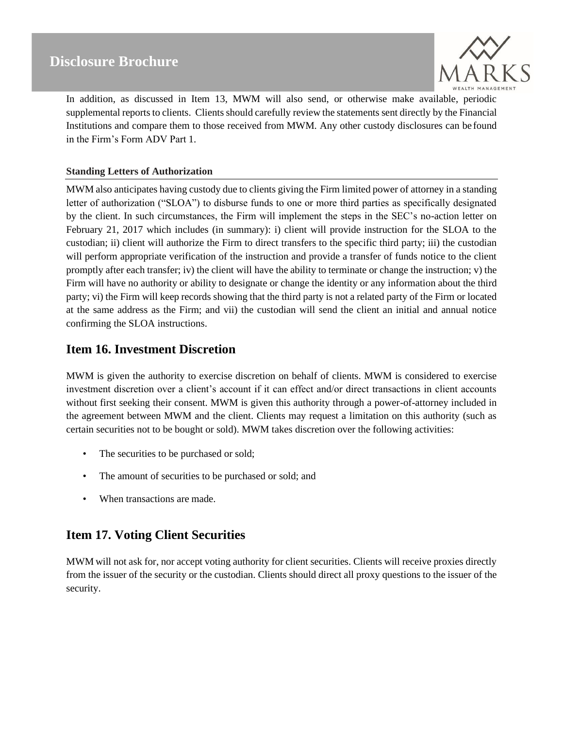

In addition, as discussed in Item 13, MWM will also send, or otherwise make available, periodic supplemental reports to clients. Clients should carefully review the statements sent directly by the Financial Institutions and compare them to those received from MWM. Any other custody disclosures can be found in the Firm's Form ADV Part 1.

#### **Standing Letters of Authorization**

MWM also anticipates having custody due to clients giving the Firm limited power of attorney in a standing letter of authorization ("SLOA") to disburse funds to one or more third parties as specifically designated by the client. In such circumstances, the Firm will implement the steps in the SEC's no-action letter on February 21, 2017 which includes (in summary): i) client will provide instruction for the SLOA to the custodian; ii) client will authorize the Firm to direct transfers to the specific third party; iii) the custodian will perform appropriate verification of the instruction and provide a transfer of funds notice to the client promptly after each transfer; iv) the client will have the ability to terminate or change the instruction; v) the Firm will have no authority or ability to designate or change the identity or any information about the third party; vi) the Firm will keep records showing that the third party is not a related party of the Firm or located at the same address as the Firm; and vii) the custodian will send the client an initial and annual notice confirming the SLOA instructions.

### <span id="page-18-0"></span>**Item 16. Investment Discretion**

MWM is given the authority to exercise discretion on behalf of clients. MWM is considered to exercise investment discretion over a client's account if it can effect and/or direct transactions in client accounts without first seeking their consent. MWM is given this authority through a power-of-attorney included in the agreement between MWM and the client. Clients may request a limitation on this authority (such as certain securities not to be bought or sold). MWM takes discretion over the following activities:

- The securities to be purchased or sold;
- The amount of securities to be purchased or sold; and
- When transactions are made.

### <span id="page-18-1"></span>**Item 17. Voting Client Securities**

MWM will not ask for, nor accept voting authority for client securities. Clients will receive proxies directly from the issuer of the security or the custodian. Clients should direct all proxy questions to the issuer of the security.